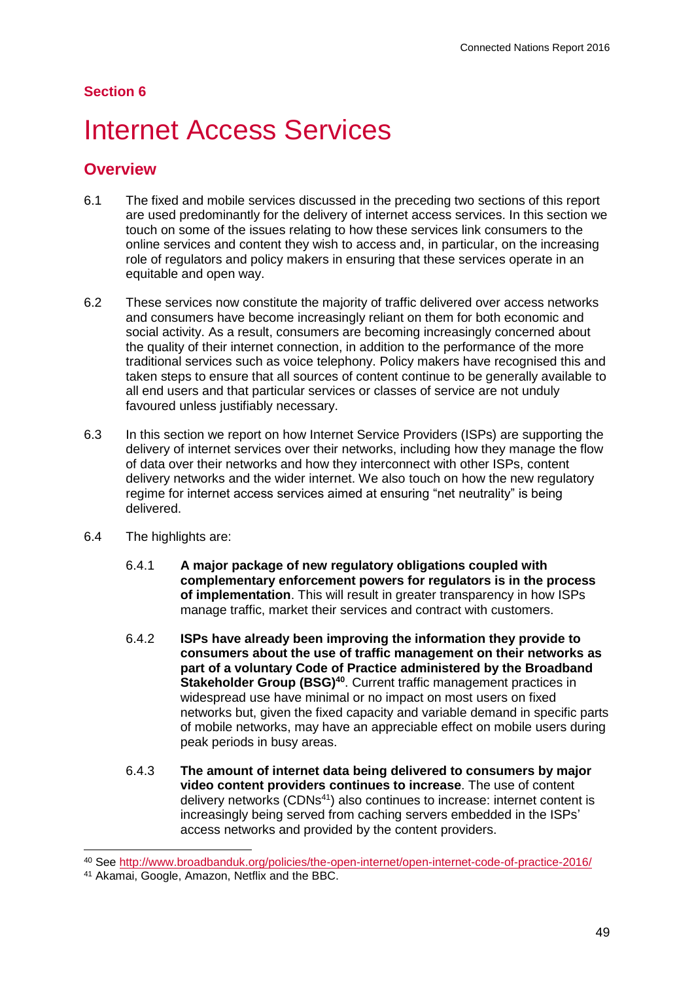#### **Section 6**

# **Internet Access Services**

## **Overview**

- 6.1 The fixed and mobile services discussed in the preceding two sections of this report are used predominantly for the delivery of internet access services. In this section we touch on some of the issues relating to how these services link consumers to the online services and content they wish to access and, in particular, on the increasing role of regulators and policy makers in ensuring that these services operate in an equitable and open way.
- 6.2 These services now constitute the majority of traffic delivered over access networks and consumers have become increasingly reliant on them for both economic and social activity. As a result, consumers are becoming increasingly concerned about the quality of their internet connection, in addition to the performance of the more traditional services such as voice telephony. Policy makers have recognised this and taken steps to ensure that all sources of content continue to be generally available to all end users and that particular services or classes of service are not unduly favoured unless justifiably necessary.
- 6.3 In this section we report on how Internet Service Providers (ISPs) are supporting the delivery of internet services over their networks, including how they manage the flow of data over their networks and how they interconnect with other ISPs, content delivery networks and the wider internet. We also touch on how the new regulatory regime for internet access services aimed at ensuring "net neutrality" is being delivered.
- 6.4 The highlights are:
	- 6.4.1 **A major package of new regulatory obligations coupled with complementary enforcement powers for regulators is in the process of implementation**. This will result in greater transparency in how ISPs manage traffic, market their services and contract with customers.
	- 6.4.2 **ISPs have already been improving the information they provide to consumers about the use of traffic management on their networks as part of a voluntary Code of Practice administered by the Broadband**  Stakeholder Group (BSG)<sup>40</sup>. Current traffic management practices in widespread use have minimal or no impact on most users on fixed networks but, given the fixed capacity and variable demand in specific parts of mobile networks, may have an appreciable effect on mobile users during peak periods in busy areas.
	- 6.4.3 **The amount of internet data being delivered to consumers by major video content providers continues to increase**. The use of content delivery networks (CDNs<sup>41</sup>) also continues to increase: internet content is increasingly being served from caching servers embedded in the ISPs' access networks and provided by the content providers.

<sup>40</sup> See<http://www.broadbanduk.org/policies/the-open-internet/open-internet-code-of-practice-2016/>

<sup>41</sup> Akamai, Google, Amazon, Netflix and the BBC.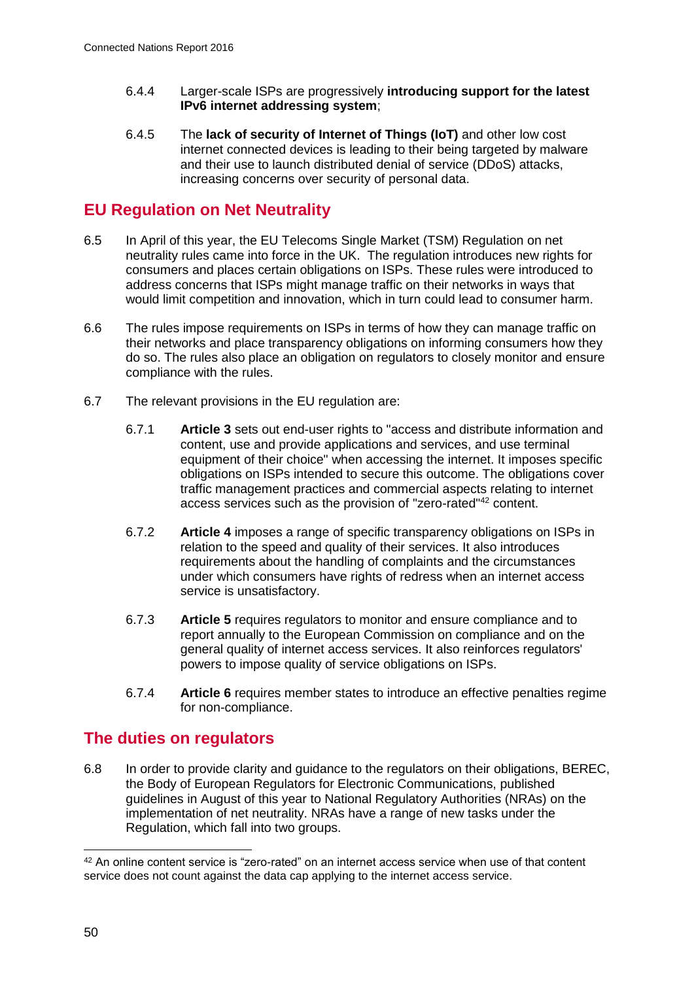- 6.4.4 Larger-scale ISPs are progressively **introducing support for the latest IPv6 internet addressing system**;
- 6.4.5 The **lack of security of Internet of Things (IoT)** and other low cost internet connected devices is leading to their being targeted by malware and their use to launch distributed denial of service (DDoS) attacks, increasing concerns over security of personal data.

# **EU Regulation on Net Neutrality**

- 6.5 In April of this year, the EU Telecoms Single Market (TSM) Regulation on net neutrality rules came into force in the UK. The regulation introduces new rights for consumers and places certain obligations on ISPs. These rules were introduced to address concerns that ISPs might manage traffic on their networks in ways that would limit competition and innovation, which in turn could lead to consumer harm.
- 6.6 The rules impose requirements on ISPs in terms of how they can manage traffic on their networks and place transparency obligations on informing consumers how they do so. The rules also place an obligation on regulators to closely monitor and ensure compliance with the rules.
- 6.7 The relevant provisions in the EU regulation are:
	- 6.7.1 **Article 3** sets out end-user rights to "access and distribute information and content, use and provide applications and services, and use terminal equipment of their choice" when accessing the internet. It imposes specific obligations on ISPs intended to secure this outcome. The obligations cover traffic management practices and commercial aspects relating to internet access services such as the provision of "zero-rated"<sup>42</sup> content.
	- 6.7.2 **Article 4** imposes a range of specific transparency obligations on ISPs in relation to the speed and quality of their services. It also introduces requirements about the handling of complaints and the circumstances under which consumers have rights of redress when an internet access service is unsatisfactory.
	- 6.7.3 **Article 5** requires regulators to monitor and ensure compliance and to report annually to the European Commission on compliance and on the general quality of internet access services. It also reinforces regulators' powers to impose quality of service obligations on ISPs.
	- 6.7.4 **Article 6** requires member states to introduce an effective penalties regime for non-compliance.

## **The duties on regulators**

6.8 In order to provide clarity and guidance to the regulators on their obligations, BEREC, the Body of European Regulators for Electronic Communications, published guidelines in August of this year to National Regulatory Authorities (NRAs) on the implementation of net neutrality. NRAs have a range of new tasks under the Regulation, which fall into two groups.

<sup>42</sup> An online content service is "zero-rated" on an internet access service when use of that content service does not count against the data cap applying to the internet access service.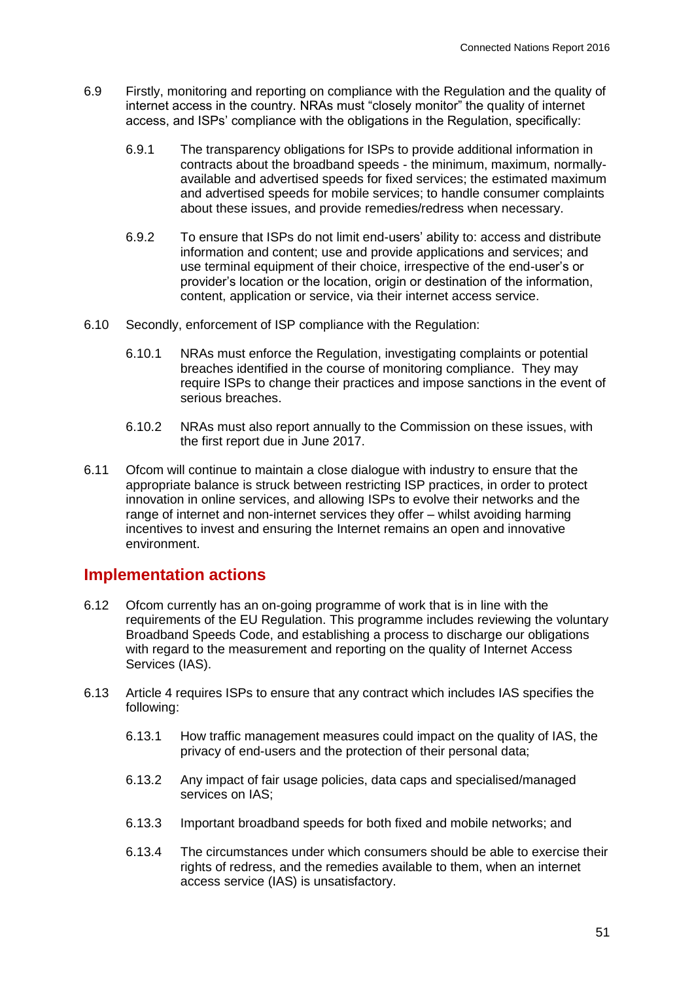- 6.9 Firstly, monitoring and reporting on compliance with the Regulation and the quality of internet access in the country. NRAs must "closely monitor" the quality of internet access, and ISPs' compliance with the obligations in the Regulation, specifically:
	- 6.9.1 The transparency obligations for ISPs to provide additional information in contracts about the broadband speeds - the minimum, maximum, normallyavailable and advertised speeds for fixed services; the estimated maximum and advertised speeds for mobile services; to handle consumer complaints about these issues, and provide remedies/redress when necessary.
	- 6.9.2 To ensure that ISPs do not limit end-users' ability to: access and distribute information and content; use and provide applications and services; and use terminal equipment of their choice, irrespective of the end-user's or provider's location or the location, origin or destination of the information, content, application or service, via their internet access service.
- 6.10 Secondly, enforcement of ISP compliance with the Regulation:
	- 6.10.1 NRAs must enforce the Regulation, investigating complaints or potential breaches identified in the course of monitoring compliance. They may require ISPs to change their practices and impose sanctions in the event of serious breaches.
	- 6.10.2 NRAs must also report annually to the Commission on these issues, with the first report due in June 2017.
- 6.11 Ofcom will continue to maintain a close dialogue with industry to ensure that the appropriate balance is struck between restricting ISP practices, in order to protect innovation in online services, and allowing ISPs to evolve their networks and the range of internet and non-internet services they offer – whilst avoiding harming incentives to invest and ensuring the Internet remains an open and innovative environment.

### **Implementation actions**

- 6.12 Ofcom currently has an on-going programme of work that is in line with the requirements of the EU Regulation. This programme includes reviewing the voluntary Broadband Speeds Code, and establishing a process to discharge our obligations with regard to the measurement and reporting on the quality of Internet Access Services (IAS).
- 6.13 Article 4 requires ISPs to ensure that any contract which includes IAS specifies the following:
	- 6.13.1 How traffic management measures could impact on the quality of IAS, the privacy of end-users and the protection of their personal data;
	- 6.13.2 Any impact of fair usage policies, data caps and specialised/managed services on IAS;
	- 6.13.3 Important broadband speeds for both fixed and mobile networks; and
	- 6.13.4 The circumstances under which consumers should be able to exercise their rights of redress, and the remedies available to them, when an internet access service (IAS) is unsatisfactory.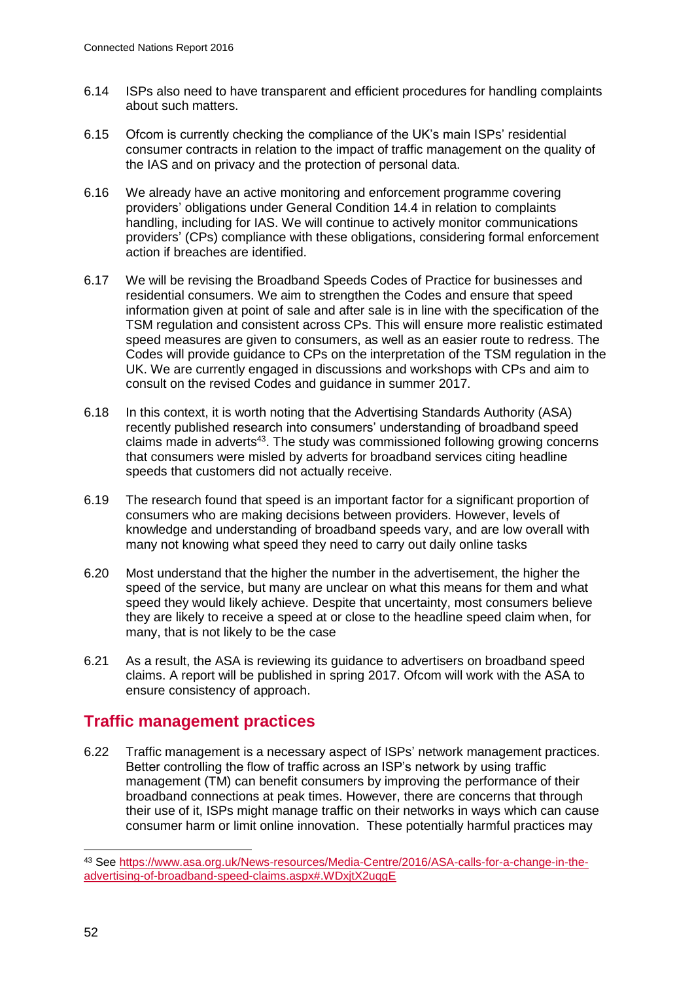- 6.14 ISPs also need to have transparent and efficient procedures for handling complaints about such matters.
- 6.15 Ofcom is currently checking the compliance of the UK's main ISPs' residential consumer contracts in relation to the impact of traffic management on the quality of the IAS and on privacy and the protection of personal data.
- 6.16 We already have an active monitoring and enforcement programme covering providers' obligations under General Condition 14.4 in relation to complaints handling, including for IAS. We will continue to actively monitor communications providers' (CPs) compliance with these obligations, considering formal enforcement action if breaches are identified.
- 6.17 We will be revising the Broadband Speeds Codes of Practice for businesses and residential consumers. We aim to strengthen the Codes and ensure that speed information given at point of sale and after sale is in line with the specification of the TSM regulation and consistent across CPs. This will ensure more realistic estimated speed measures are given to consumers, as well as an easier route to redress. The Codes will provide guidance to CPs on the interpretation of the TSM regulation in the UK. We are currently engaged in discussions and workshops with CPs and aim to consult on the revised Codes and guidance in summer 2017.
- 6.18 In this context, it is worth noting that the Advertising Standards Authority (ASA) recently published research into consumers' understanding of broadband speed claims made in adverts<sup>43</sup>. The study was commissioned following growing concerns that consumers were misled by adverts for broadband services citing headline speeds that customers did not actually receive.
- 6.19 The research found that speed is an important factor for a significant proportion of consumers who are making decisions between providers. However, levels of knowledge and understanding of broadband speeds vary, and are low overall with many not knowing what speed they need to carry out daily online tasks
- 6.20 Most understand that the higher the number in the advertisement, the higher the speed of the service, but many are unclear on what this means for them and what speed they would likely achieve. Despite that uncertainty, most consumers believe they are likely to receive a speed at or close to the headline speed claim when, for many, that is not likely to be the case
- 6.21 As a result, the ASA is reviewing its guidance to advertisers on broadband speed claims. A report will be published in spring 2017. Ofcom will work with the ASA to ensure consistency of approach.

# **Traffic management practices**

6.22 Traffic management is a necessary aspect of ISPs' network management practices. Better controlling the flow of traffic across an ISP's network by using traffic management (TM) can benefit consumers by improving the performance of their broadband connections at peak times. However, there are concerns that through their use of it, ISPs might manage traffic on their networks in ways which can cause consumer harm or limit online innovation. These potentially harmful practices may

<sup>43</sup> See [https://www.asa.org.uk/News-resources/Media-Centre/2016/ASA-calls-for-a-change-in-the](https://www.asa.org.uk/News-resources/Media-Centre/2016/ASA-calls-for-a-change-in-the-advertising-of-broadband-speed-claims.aspx#.WDxjtX2uqgE)[advertising-of-broadband-speed-claims.aspx#.WDxjtX2uqgE](https://www.asa.org.uk/News-resources/Media-Centre/2016/ASA-calls-for-a-change-in-the-advertising-of-broadband-speed-claims.aspx#.WDxjtX2uqgE)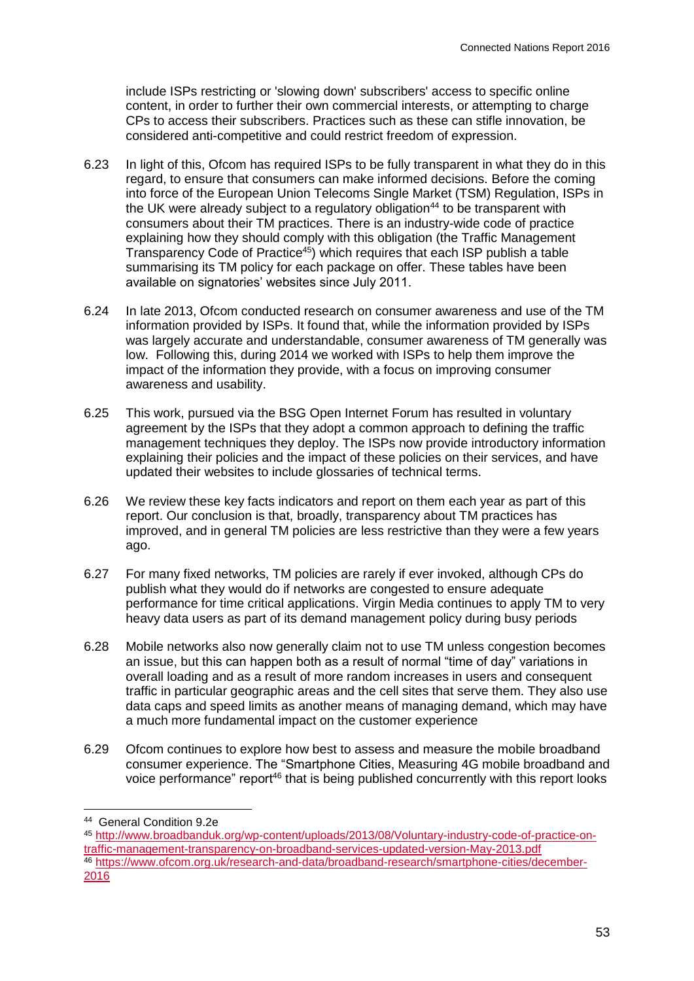include ISPs restricting or 'slowing down' subscribers' access to specific online content, in order to further their own commercial interests, or attempting to charge CPs to access their subscribers. Practices such as these can stifle innovation, be considered anti-competitive and could restrict freedom of expression.

- 6.23 In light of this, Ofcom has required ISPs to be fully transparent in what they do in this regard, to ensure that consumers can make informed decisions. Before the coming into force of the European Union Telecoms Single Market (TSM) Regulation, ISPs in the UK were already subject to a regulatory obligation<sup>44</sup> to be transparent with consumers about their TM practices. There is an industry-wide code of practice explaining how they should comply with this obligation (the Traffic Management Transparency Code of Practice<sup>45</sup>) which requires that each ISP publish a table summarising its TM policy for each package on offer. These tables have been available on signatories' websites since July 2011.
- 6.24 In late 2013, Ofcom conducted research on consumer awareness and use of the TM information provided by ISPs. It found that, while the information provided by ISPs was largely accurate and understandable, consumer awareness of TM generally was low. Following this, during 2014 we worked with ISPs to help them improve the impact of the information they provide, with a focus on improving consumer awareness and usability.
- 6.25 This work, pursued via the BSG Open Internet Forum has resulted in voluntary agreement by the ISPs that they adopt a common approach to defining the traffic management techniques they deploy. The ISPs now provide introductory information explaining their policies and the impact of these policies on their services, and have updated their websites to include glossaries of technical terms.
- 6.26 We review these key facts indicators and report on them each year as part of this report. Our conclusion is that, broadly, transparency about TM practices has improved, and in general TM policies are less restrictive than they were a few years ago.
- 6.27 For many fixed networks, TM policies are rarely if ever invoked, although CPs do publish what they would do if networks are congested to ensure adequate performance for time critical applications. Virgin Media continues to apply TM to very heavy data users as part of its demand management policy during busy periods
- 6.28 Mobile networks also now generally claim not to use TM unless congestion becomes an issue, but this can happen both as a result of normal "time of day" variations in overall loading and as a result of more random increases in users and consequent traffic in particular geographic areas and the cell sites that serve them. They also use data caps and speed limits as another means of managing demand, which may have a much more fundamental impact on the customer experience
- 6.29 Ofcom continues to explore how best to assess and measure the mobile broadband consumer experience. The "Smartphone Cities, Measuring 4G mobile broadband and voice performance" report<sup>46</sup> that is being published concurrently with this report looks

-

<sup>44</sup> General Condition 9.2e

<sup>45</sup> [http://www.broadbanduk.org/wp-content/uploads/2013/08/Voluntary-industry-code-of-practice-on](http://www.broadbanduk.org/wp-content/uploads/2013/08/Voluntary-industry-code-of-practice-on-traffic-management-transparency-on-broadband-services-updated-version-May-2013.pdf)[traffic-management-transparency-on-broadband-services-updated-version-May-2013.pdf](http://www.broadbanduk.org/wp-content/uploads/2013/08/Voluntary-industry-code-of-practice-on-traffic-management-transparency-on-broadband-services-updated-version-May-2013.pdf) <sup>46</sup> [https://www.ofcom.org.uk/research-and-data/broadband-research/smartphone-cities/december-](https://www.ofcom.org.uk/research-and-data/broadband-research/smartphone-cities/december-2016)[2016](https://www.ofcom.org.uk/research-and-data/broadband-research/smartphone-cities/december-2016)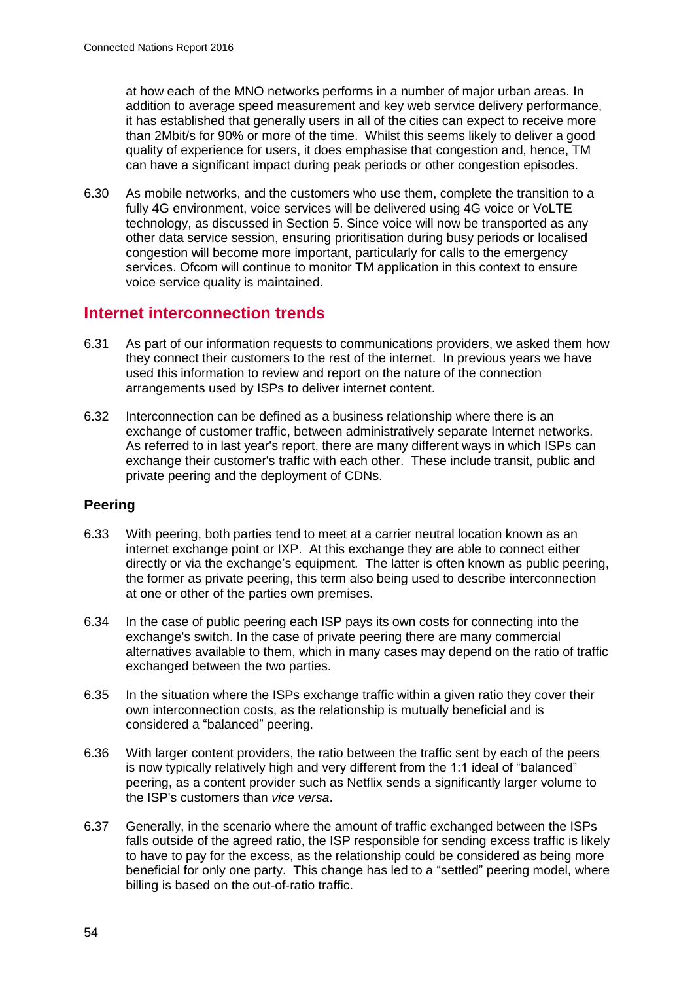at how each of the MNO networks performs in a number of major urban areas. In addition to average speed measurement and key web service delivery performance, it has established that generally users in all of the cities can expect to receive more than 2Mbit/s for 90% or more of the time. Whilst this seems likely to deliver a good quality of experience for users, it does emphasise that congestion and, hence, TM can have a significant impact during peak periods or other congestion episodes.

6.30 As mobile networks, and the customers who use them, complete the transition to a fully 4G environment, voice services will be delivered using 4G voice or VoLTE technology, as discussed in Section 5. Since voice will now be transported as any other data service session, ensuring prioritisation during busy periods or localised congestion will become more important, particularly for calls to the emergency services. Ofcom will continue to monitor TM application in this context to ensure voice service quality is maintained.

## **Internet interconnection trends**

- 6.31 As part of our information requests to communications providers, we asked them how they connect their customers to the rest of the internet. In previous years we have used this information to review and report on the nature of the connection arrangements used by ISPs to deliver internet content.
- 6.32 Interconnection can be defined as a business relationship where there is an exchange of customer traffic, between administratively separate Internet networks. As referred to in last year's report, there are many different ways in which ISPs can exchange their customer's traffic with each other. These include transit, public and private peering and the deployment of CDNs.

#### **Peering**

- 6.33 With peering, both parties tend to meet at a carrier neutral location known as an internet exchange point or IXP. At this exchange they are able to connect either directly or via the exchange's equipment. The latter is often known as public peering, the former as private peering, this term also being used to describe interconnection at one or other of the parties own premises.
- 6.34 In the case of public peering each ISP pays its own costs for connecting into the exchange's switch. In the case of private peering there are many commercial alternatives available to them, which in many cases may depend on the ratio of traffic exchanged between the two parties.
- 6.35 In the situation where the ISPs exchange traffic within a given ratio they cover their own interconnection costs, as the relationship is mutually beneficial and is considered a "balanced" peering.
- 6.36 With larger content providers, the ratio between the traffic sent by each of the peers is now typically relatively high and very different from the 1:1 ideal of "balanced" peering, as a content provider such as Netflix sends a significantly larger volume to the ISP's customers than *vice versa*.
- 6.37 Generally, in the scenario where the amount of traffic exchanged between the ISPs falls outside of the agreed ratio, the ISP responsible for sending excess traffic is likely to have to pay for the excess, as the relationship could be considered as being more beneficial for only one party. This change has led to a "settled" peering model, where billing is based on the out-of-ratio traffic.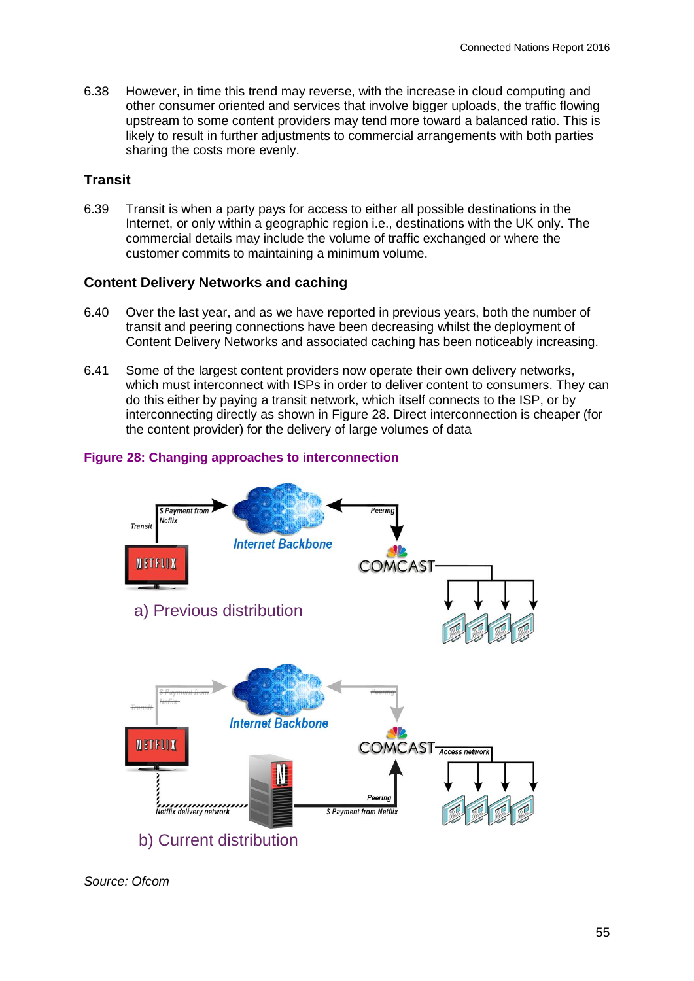6.38 However, in time this trend may reverse, with the increase in cloud computing and other consumer oriented and services that involve bigger uploads, the traffic flowing upstream to some content providers may tend more toward a balanced ratio. This is likely to result in further adjustments to commercial arrangements with both parties sharing the costs more evenly.

#### **Transit**

6.39 Transit is when a party pays for access to either all possible destinations in the Internet, or only within a geographic region i.e., destinations with the UK only. The commercial details may include the volume of traffic exchanged or where the customer commits to maintaining a minimum volume.

#### **Content Delivery Networks and caching**

- 6.40 Over the last year, and as we have reported in previous years, both the number of transit and peering connections have been decreasing whilst the deployment of Content Delivery Networks and associated caching has been noticeably increasing.
- 6.41 Some of the largest content providers now operate their own delivery networks, which must interconnect with ISPs in order to deliver content to consumers. They can do this either by paying a transit network, which itself connects to the ISP, or by interconnecting directly as shown in [Figure 28.](#page-6-0) Direct interconnection is cheaper (for the content provider) for the delivery of large volumes of data



#### <span id="page-6-0"></span>**Figure 28: Changing approaches to interconnection**

*Source: Ofcom*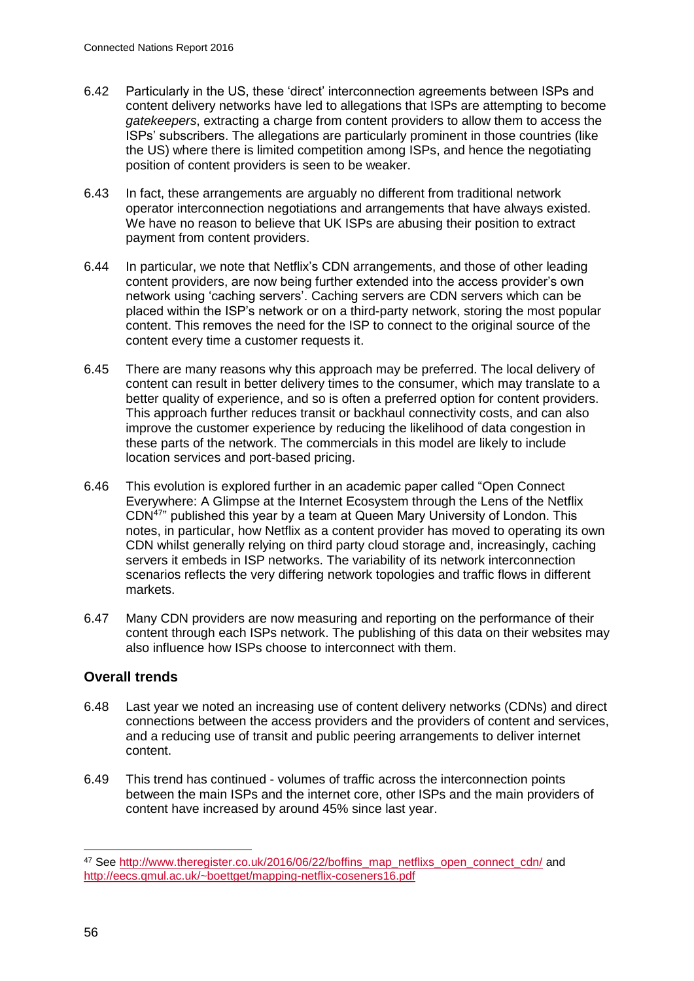- 6.42 Particularly in the US, these 'direct' interconnection agreements between ISPs and content delivery networks have led to allegations that ISPs are attempting to become *gatekeepers*, extracting a charge from content providers to allow them to access the ISPs' subscribers. The allegations are particularly prominent in those countries (like the US) where there is limited competition among ISPs, and hence the negotiating position of content providers is seen to be weaker.
- 6.43 In fact, these arrangements are arguably no different from traditional network operator interconnection negotiations and arrangements that have always existed. We have no reason to believe that UK ISPs are abusing their position to extract payment from content providers.
- 6.44 In particular, we note that Netflix's CDN arrangements, and those of other leading content providers, are now being further extended into the access provider's own network using 'caching servers'. Caching servers are CDN servers which can be placed within the ISP's network or on a third-party network, storing the most popular content. This removes the need for the ISP to connect to the original source of the content every time a customer requests it.
- 6.45 There are many reasons why this approach may be preferred. The local delivery of content can result in better delivery times to the consumer, which may translate to a better quality of experience, and so is often a preferred option for content providers. This approach further reduces transit or backhaul connectivity costs, and can also improve the customer experience by reducing the likelihood of data congestion in these parts of the network. The commercials in this model are likely to include location services and port-based pricing.
- 6.46 This evolution is explored further in an academic paper called "Open Connect Everywhere: A Glimpse at the Internet Ecosystem through the Lens of the Netflix CDN<sup>47</sup>" published this year by a team at Queen Mary University of London. This notes, in particular, how Netflix as a content provider has moved to operating its own CDN whilst generally relying on third party cloud storage and, increasingly, caching servers it embeds in ISP networks. The variability of its network interconnection scenarios reflects the very differing network topologies and traffic flows in different markets.
- 6.47 Many CDN providers are now measuring and reporting on the performance of their content through each ISPs network. The publishing of this data on their websites may also influence how ISPs choose to interconnect with them.

#### **Overall trends**

- 6.48 Last year we noted an increasing use of content delivery networks (CDNs) and direct connections between the access providers and the providers of content and services, and a reducing use of transit and public peering arrangements to deliver internet content.
- 6.49 This trend has continued volumes of traffic across the interconnection points between the main ISPs and the internet core, other ISPs and the main providers of content have increased by around 45% since last year.

<sup>&</sup>lt;sup>47</sup> See [http://www.theregister.co.uk/2016/06/22/boffins\\_map\\_netflixs\\_open\\_connect\\_cdn/](http://www.theregister.co.uk/2016/06/22/boffins_map_netflixs_open_connect_cdn/) and <http://eecs.qmul.ac.uk/~boettget/mapping-netflix-coseners16.pdf>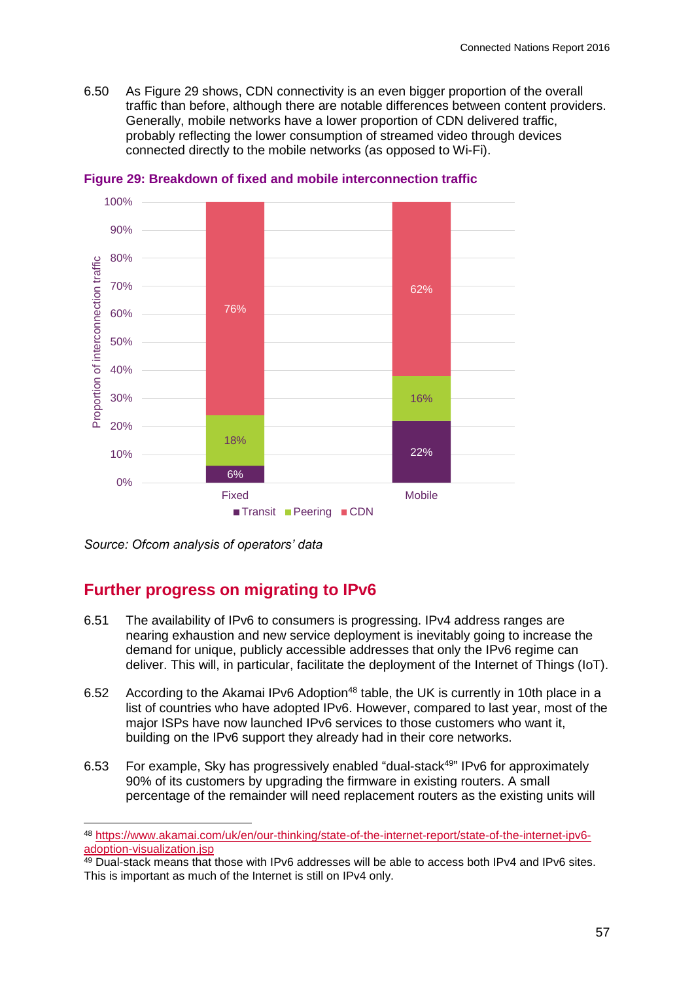6.50 As [Figure 29](#page-8-0) shows, CDN connectivity is an even bigger proportion of the overall traffic than before, although there are notable differences between content providers. Generally, mobile networks have a lower proportion of CDN delivered traffic, probably reflecting the lower consumption of streamed video through devices connected directly to the mobile networks (as opposed to Wi-Fi).



<span id="page-8-0"></span>**Figure 29: Breakdown of fixed and mobile interconnection traffic**

*Source: Ofcom analysis of operators' data*

-

# **Further progress on migrating to IPv6**

- 6.51 The availability of IPv6 to consumers is progressing. IPv4 address ranges are nearing exhaustion and new service deployment is inevitably going to increase the demand for unique, publicly accessible addresses that only the IPv6 regime can deliver. This will, in particular, facilitate the deployment of the Internet of Things (IoT).
- 6.52 According to the Akamai IPv6 Adoption<sup>48</sup> table, the UK is currently in 10th place in a list of countries who have adopted IPv6. However, compared to last year, most of the major ISPs have now launched IPv6 services to those customers who want it, building on the IPv6 support they already had in their core networks.
- 6.53 For example, Sky has progressively enabled "dual-stack<sup>49</sup>" IPv6 for approximately 90% of its customers by upgrading the firmware in existing routers. A small percentage of the remainder will need replacement routers as the existing units will

<sup>48</sup> [https://www.akamai.com/uk/en/our-thinking/state-of-the-internet-report/state-of-the-internet-ipv6](https://www.akamai.com/uk/en/our-thinking/state-of-the-internet-report/state-of-the-internet-ipv6-adoption-visualization.jsp) [adoption-visualization.jsp](https://www.akamai.com/uk/en/our-thinking/state-of-the-internet-report/state-of-the-internet-ipv6-adoption-visualization.jsp)

<sup>&</sup>lt;sup>49</sup> Dual-stack means that those with IPv6 addresses will be able to access both IPv4 and IPv6 sites. This is important as much of the Internet is still on IPv4 only.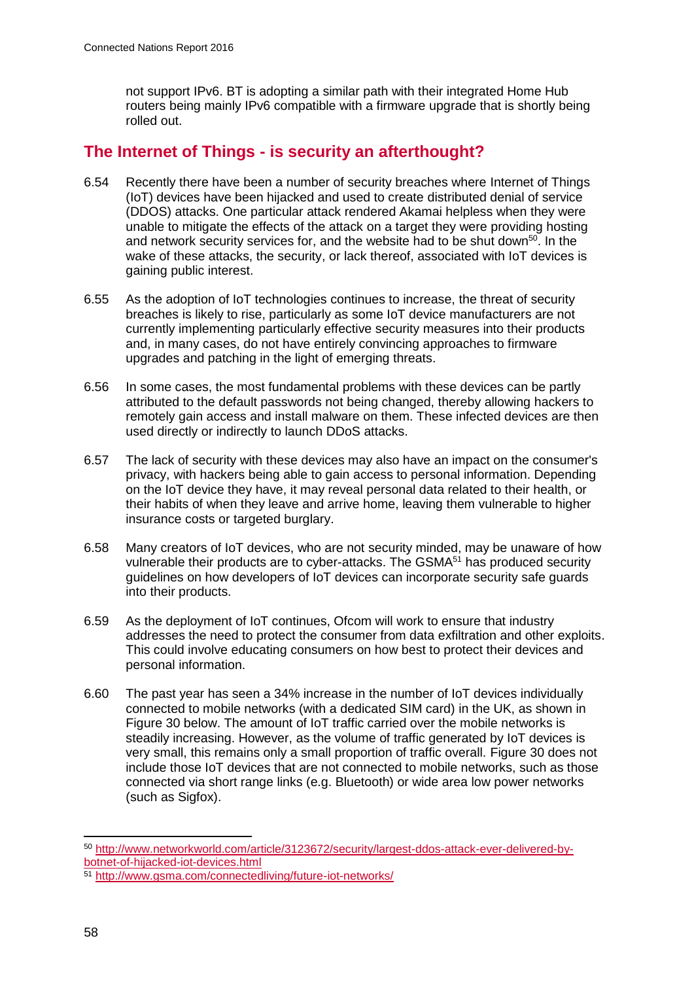not support IPv6. BT is adopting a similar path with their integrated Home Hub routers being mainly IPv6 compatible with a firmware upgrade that is shortly being rolled out.

## **The Internet of Things - is security an afterthought?**

- 6.54 Recently there have been a number of security breaches where Internet of Things (IoT) devices have been hijacked and used to create distributed denial of service (DDOS) attacks. One particular attack rendered Akamai helpless when they were unable to mitigate the effects of the attack on a target they were providing hosting and network security services for, and the website had to be shut down<sup>50</sup>. In the wake of these attacks, the security, or lack thereof, associated with IoT devices is gaining public interest.
- 6.55 As the adoption of IoT technologies continues to increase, the threat of security breaches is likely to rise, particularly as some IoT device manufacturers are not currently implementing particularly effective security measures into their products and, in many cases, do not have entirely convincing approaches to firmware upgrades and patching in the light of emerging threats.
- 6.56 In some cases, the most fundamental problems with these devices can be partly attributed to the default passwords not being changed, thereby allowing hackers to remotely gain access and install malware on them. These infected devices are then used directly or indirectly to launch DDoS attacks.
- 6.57 The lack of security with these devices may also have an impact on the consumer's privacy, with hackers being able to gain access to personal information. Depending on the IoT device they have, it may reveal personal data related to their health, or their habits of when they leave and arrive home, leaving them vulnerable to higher insurance costs or targeted burglary.
- 6.58 Many creators of IoT devices, who are not security minded, may be unaware of how vulnerable their products are to cyber-attacks. The GSMA<sup>51</sup> has produced security guidelines on how developers of IoT devices can incorporate security safe guards into their products.
- 6.59 As the deployment of IoT continues, Ofcom will work to ensure that industry addresses the need to protect the consumer from data exfiltration and other exploits. This could involve educating consumers on how best to protect their devices and personal information.
- 6.60 The past year has seen a 34% increase in the number of IoT devices individually connected to mobile networks (with a dedicated SIM card) in the UK, as shown in [Figure 30](#page-10-0) below. The amount of IoT traffic carried over the mobile networks is steadily increasing. However, as the volume of traffic generated by IoT devices is very small, this remains only a small proportion of traffic overall. [Figure 30](#page-10-0) does not include those IoT devices that are not connected to mobile networks, such as those connected via short range links (e.g. Bluetooth) or wide area low power networks (such as Sigfox).

-

<sup>50</sup> [http://www.networkworld.com/article/3123672/security/largest-ddos-attack-ever-delivered-by](http://www.networkworld.com/article/3123672/security/largest-ddos-attack-ever-delivered-by-botnet-of-hijacked-iot-devices.html)[botnet-of-hijacked-iot-devices.html](http://www.networkworld.com/article/3123672/security/largest-ddos-attack-ever-delivered-by-botnet-of-hijacked-iot-devices.html)

<sup>51</sup> <http://www.gsma.com/connectedliving/future-iot-networks/>